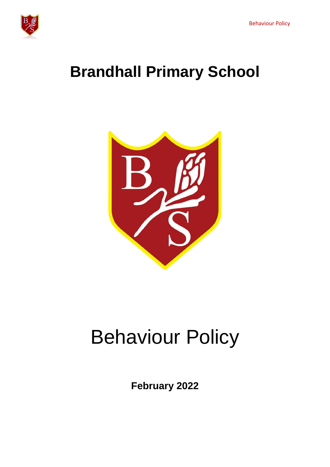

# **Brandhall Primary School**



# Behaviour Policy

**February 2022**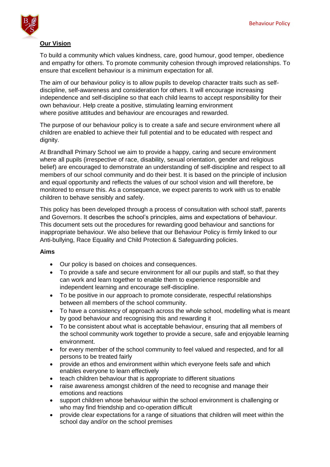

# **Our Vision**

To build a community which values kindness, care, good humour, good temper, obedience and empathy for others. To promote community cohesion through improved relationships. To ensure that excellent behaviour is a minimum expectation for all.

The aim of our behaviour policy is to allow pupils to develop character traits such as selfdiscipline, self-awareness and consideration for others. It will encourage increasing independence and self-discipline so that each child learns to accept responsibility for their own behaviour. Help create a positive, stimulating learning environment where positive attitudes and behaviour are encourages and rewarded.

The purpose of our behaviour policy is to create a safe and secure environment where all children are enabled to achieve their full potential and to be educated with respect and dignity.

At Brandhall Primary School we aim to provide a happy, caring and secure environment where all pupils (irrespective of race, disability, sexual orientation, gender and religious belief) are encouraged to demonstrate an understanding of self-discipline and respect to all members of our school community and do their best. It is based on the principle of inclusion and equal opportunity and reflects the values of our school vision and will therefore, be monitored to ensure this. As a consequence, we expect parents to work with us to enable children to behave sensibly and safely.

This policy has been developed through a process of consultation with school staff, parents and Governors. It describes the school's principles, aims and expectations of behaviour. This document sets out the procedures for rewarding good behaviour and sanctions for inappropriate behaviour. We also believe that our Behaviour Policy is firmly linked to our Anti-bullying, Race Equality and Child Protection & Safeguarding policies.

# **Aims**

- Our policy is based on choices and consequences.
- To provide a safe and secure environment for all our pupils and staff, so that they can work and learn together to enable them to experience responsible and independent learning and encourage self-discipline.
- To be positive in our approach to promote considerate, respectful relationships between all members of the school community.
- To have a consistency of approach across the whole school, modelling what is meant by good behaviour and recognising this and rewarding it
- To be consistent about what is acceptable behaviour, ensuring that all members of the school community work together to provide a secure, safe and enjoyable learning environment.
- for every member of the school community to feel valued and respected, and for all persons to be treated fairly
- provide an ethos and environment within which everyone feels safe and which enables everyone to learn effectively
- teach children behaviour that is appropriate to different situations
- raise awareness amongst children of the need to recognise and manage their emotions and reactions
- support children whose behaviour within the school environment is challenging or who may find friendship and co-operation difficult
- provide clear expectations for a range of situations that children will meet within the school day and/or on the school premises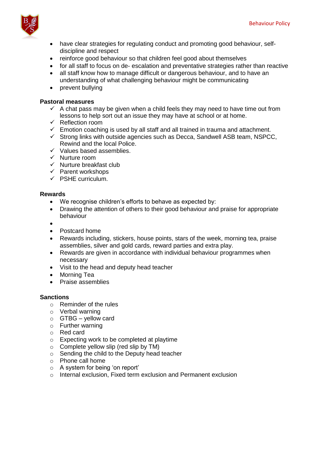

- have clear strategies for regulating conduct and promoting good behaviour, selfdiscipline and respect
- reinforce good behaviour so that children feel good about themselves
- for all staff to focus on de- escalation and preventative strategies rather than reactive
- all staff know how to manage difficult or dangerous behaviour, and to have an understanding of what challenging behaviour might be communicating
- prevent bullying

# **Pastoral measures**

- $\checkmark$  A chat pass may be given when a child feels they may need to have time out from lessons to help sort out an issue they may have at school or at home.
- $\checkmark$  Reflection room
- $\checkmark$  Emotion coaching is used by all staff and all trained in trauma and attachment.
- $\checkmark$  Strong links with outside agencies such as Decca, Sandwell ASB team, NSPCC, Rewind and the local Police.
- $\checkmark$  Values based assemblies.
- $\checkmark$  Nurture room
- $\checkmark$  Nurture breakfast club
- $\checkmark$  Parent workshops
- $\checkmark$  PSHE curriculum.

# **Rewards**

- We recognise children's efforts to behave as expected by:
- Drawing the attention of others to their good behaviour and praise for appropriate behaviour
- $\bullet$
- Postcard home
- Rewards including, stickers, house points, stars of the week, morning tea, praise assemblies, silver and gold cards, reward parties and extra play.
- Rewards are given in accordance with individual behaviour programmes when necessary
- Visit to the head and deputy head teacher
- Morning Tea
- Praise assemblies

# **Sanctions**

- o Reminder of the rules
- o Verbal warning
- $\circ$  GTBG yellow card
- o Further warning
- o Red card
- o Expecting work to be completed at playtime
- $\circ$  Complete yellow slip (red slip by TM)
- o Sending the child to the Deputy head teacher
- o Phone call home
- o A system for being 'on report'
- o Internal exclusion, Fixed term exclusion and Permanent exclusion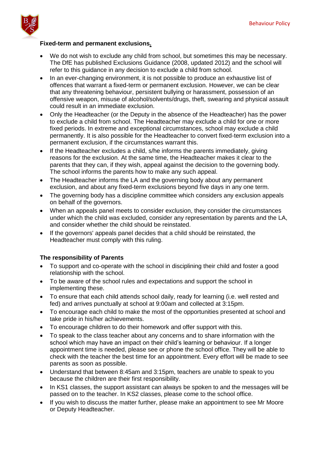

# **Fixed-term and permanent exclusions.**

- We do not wish to exclude any child from school, but sometimes this may be necessary. The DfE has published Exclusions Guidance (2008, updated 2012) and the school will refer to this guidance in any decision to exclude a child from school.
- In an ever-changing environment, it is not possible to produce an exhaustive list of offences that warrant a fixed-term or permanent exclusion. However, we can be clear that any threatening behaviour, persistent bullying or harassment, possession of an offensive weapon, misuse of alcohol/solvents/drugs, theft, swearing and physical assault could result in an immediate exclusion.
- Only the Headteacher (or the Deputy in the absence of the Headteacher) has the power to exclude a child from school. The Headteacher may exclude a child for one or more fixed periods. In extreme and exceptional circumstances, school may exclude a child permanently. It is also possible for the Headteacher to convert fixed-term exclusion into a permanent exclusion, if the circumstances warrant this.
- If the Headteacher excludes a child, s/he informs the parents immediately, giving reasons for the exclusion. At the same time, the Headteacher makes it clear to the parents that they can, if they wish, appeal against the decision to the governing body. The school informs the parents how to make any such appeal.
- The Headteacher informs the LA and the governing body about any permanent exclusion, and about any fixed-term exclusions beyond five days in any one term.
- The governing body has a discipline committee which considers any exclusion appeals on behalf of the governors.
- When an appeals panel meets to consider exclusion, they consider the circumstances under which the child was excluded, consider any representation by parents and the LA, and consider whether the child should be reinstated.
- If the governors' appeals panel decides that a child should be reinstated, the Headteacher must comply with this ruling.

# **The responsibility of Parents**

- To support and co-operate with the school in disciplining their child and foster a good relationship with the school.
- To be aware of the school rules and expectations and support the school in implementing these.
- To ensure that each child attends school daily, ready for learning (i.e. well rested and fed) and arrives punctually at school at 9:00am and collected at 3:15pm.
- To encourage each child to make the most of the opportunities presented at school and take pride in his/her achievements.
- To encourage children to do their homework and offer support with this.
- To speak to the class teacher about any concerns and to share information with the school which may have an impact on their child's learning or behaviour. If a longer appointment time is needed, please see or phone the school office. They will be able to check with the teacher the best time for an appointment. Every effort will be made to see parents as soon as possible.
- Understand that between 8:45am and 3:15pm, teachers are unable to speak to you because the children are their first responsibility.
- In KS1 classes, the support assistant can always be spoken to and the messages will be passed on to the teacher. In KS2 classes, please come to the school office.
- If you wish to discuss the matter further, please make an appointment to see Mr Moore or Deputy Headteacher.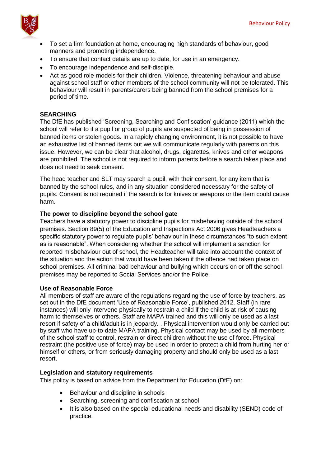

- To set a firm foundation at home, encouraging high standards of behaviour, good manners and promoting independence.
- To ensure that contact details are up to date, for use in an emergency.
- To encourage independence and self-disciple.
- Act as good role-models for their children. Violence, threatening behaviour and abuse against school staff or other members of the school community will not be tolerated. This behaviour will result in parents/carers being banned from the school premises for a period of time.

# **SEARCHING**

The DfE has published 'Screening, Searching and Confiscation' guidance (2011) which the school will refer to if a pupil or group of pupils are suspected of being in possession of banned items or stolen goods. In a rapidly changing environment, it is not possible to have an exhaustive list of banned items but we will communicate regularly with parents on this issue. However, we can be clear that alcohol, drugs, cigarettes, knives and other weapons are prohibited. The school is not required to inform parents before a search takes place and does not need to seek consent.

The head teacher and SLT may search a pupil, with their consent, for any item that is banned by the school rules, and in any situation considered necessary for the safety of pupils. Consent is not required if the search is for knives or weapons or the item could cause harm.

# **The power to discipline beyond the school gate**

Teachers have a statutory power to discipline pupils for misbehaving outside of the school premises. Section 89(5) of the Education and Inspections Act 2006 gives Headteachers a specific statutory power to regulate pupils' behaviour in these circumstances "to such extent as is reasonable". When considering whether the school will implement a sanction for reported misbehaviour out of school, the Headteacher will take into account the context of the situation and the action that would have been taken if the offence had taken place on school premises. All criminal bad behaviour and bullying which occurs on or off the school premises may be reported to Social Services and/or the Police.

# **Use of Reasonable Force**

All members of staff are aware of the regulations regarding the use of force by teachers, as set out in the DfE document 'Use of Reasonable Force', published 2012. Staff (in rare instances) will only intervene physically to restrain a child if the child is at risk of causing harm to themselves or others. Staff are MAPA trained and this will only be used as a last resort if safety of a child/adult is in jeopardy. . Physical intervention would only be carried out by staff who have up-to-date MAPA training. Physical contact may be used by all members of the school staff to control, restrain or direct children without the use of force. Physical restraint (the positive use of force) may be used in order to protect a child from hurting her or himself or others, or from seriously damaging property and should only be used as a last resort.

# **Legislation and statutory requirements**

This policy is based on advice from the Department for Education (DfE) on:

- Behaviour and discipline in schools
- Searching, screening and confiscation at school
- It is also based on the special educational needs and disability (SEND) code of practice.